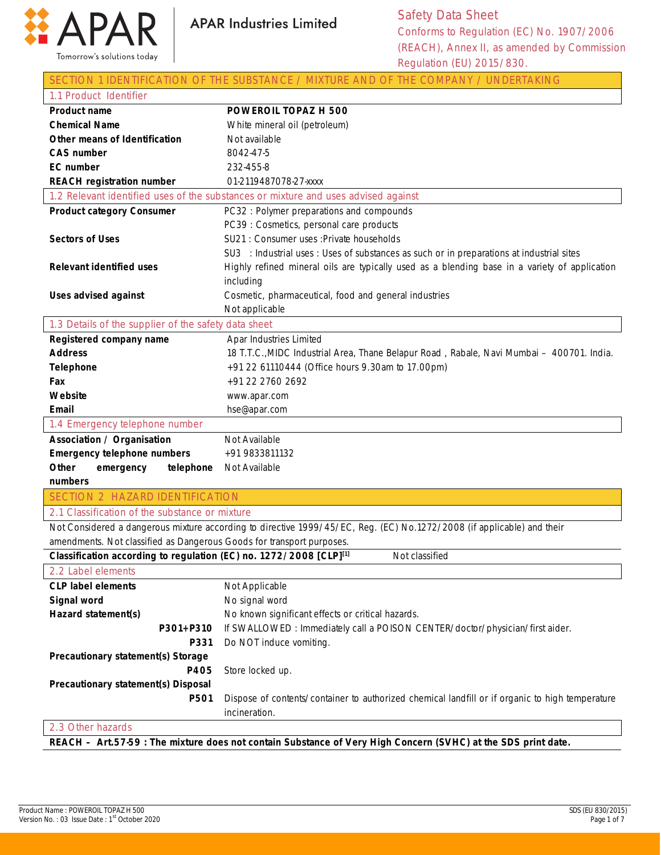



|--|

| 1.1 Product Identifier                                                |                                                                                                                        |
|-----------------------------------------------------------------------|------------------------------------------------------------------------------------------------------------------------|
| <b>Product name</b>                                                   | POWEROIL TOPAZ H 500                                                                                                   |
| <b>Chemical Name</b>                                                  | White mineral oil (petroleum)                                                                                          |
| Other means of Identification                                         | Not available                                                                                                          |
| <b>CAS number</b>                                                     | 8042-47-5                                                                                                              |
| <b>EC</b> number                                                      | 232-455-8                                                                                                              |
| <b>REACH registration number</b>                                      | 01-2119487078-27-xxxx                                                                                                  |
|                                                                       | 1.2 Relevant identified uses of the substances or mixture and uses advised against                                     |
| <b>Product category Consumer</b>                                      | PC32: Polymer preparations and compounds                                                                               |
|                                                                       | PC39 : Cosmetics, personal care products                                                                               |
| <b>Sectors of Uses</b>                                                | SU21 : Consumer uses : Private households                                                                              |
|                                                                       | SU3 : Industrial uses : Uses of substances as such or in preparations at industrial sites                              |
| <b>Relevant identified uses</b>                                       | Highly refined mineral oils are typically used as a blending base in a variety of application                          |
|                                                                       | including                                                                                                              |
| <b>Uses advised against</b>                                           | Cosmetic, pharmaceutical, food and general industries                                                                  |
|                                                                       | Not applicable                                                                                                         |
| 1.3 Details of the supplier of the safety data sheet                  |                                                                                                                        |
| Registered company name                                               | Apar Industries Limited                                                                                                |
| <b>Address</b>                                                        | 18 T.T.C., MIDC Industrial Area, Thane Belapur Road, Rabale, Navi Mumbai - 400701. India.                              |
| <b>Telephone</b>                                                      | +91 22 61110444 (Office hours 9.30am to 17.00pm)                                                                       |
| Fax                                                                   | +91 22 2760 2692                                                                                                       |
| Website                                                               | www.apar.com                                                                                                           |
| Email                                                                 | hse@apar.com                                                                                                           |
| 1.4 Emergency telephone number                                        |                                                                                                                        |
| <b>Association / Organisation</b>                                     | Not Available                                                                                                          |
| <b>Emergency telephone numbers</b>                                    | +91 9833811132                                                                                                         |
| Other<br>emergency<br>telephone                                       | Not Available                                                                                                          |
| numbers                                                               |                                                                                                                        |
| <b>SECTION 2 HAZARD IDENTIFICATION</b>                                |                                                                                                                        |
| 2.1 Classification of the substance or mixture                        |                                                                                                                        |
|                                                                       | Not Considered a dangerous mixture according to directive 1999/45/EC, Reg. (EC) No.1272/2008 (if applicable) and their |
| amendments. Not classified as Dangerous Goods for transport purposes. |                                                                                                                        |
| Classification according to regulation (EC) no. 1272/2008 [CLP][1]    | Not classified                                                                                                         |
| 2.2 Label elements                                                    |                                                                                                                        |
| <b>CLP label elements</b>                                             | Not Applicable                                                                                                         |
| Signal word                                                           | No signal word                                                                                                         |
| Hazard statement(s)                                                   | No known significant effects or critical hazards.                                                                      |
| P301+P310                                                             | If SWALLOWED: Immediately call a POISON CENTER/doctor/physician/first aider.                                           |
| P331                                                                  | Do NOT induce vomiting.                                                                                                |
| Precautionary statement(s) Storage                                    |                                                                                                                        |
| P405                                                                  | Store locked up.                                                                                                       |
| Precautionary statement(s) Disposal                                   |                                                                                                                        |
| P501                                                                  | Dispose of contents/container to authorized chemical landfill or if organic to high temperature                        |
|                                                                       | incineration.                                                                                                          |
| 2.3 Other hazards                                                     |                                                                                                                        |

**REACH – Art.57-59 : The mixture does not contain Substance of Very High Concern (SVHC) at the SDS print date.**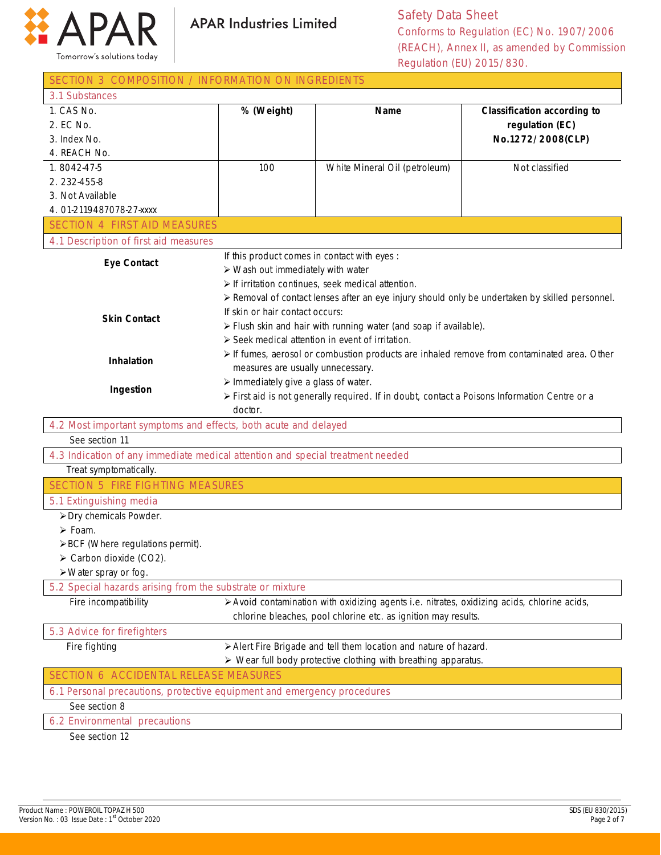

Safety Data Sheet Conforms to Regulation (EC) No. 1907/2006 (REACH), Annex II, as amended by Commission Regulation (EU) 2015/830.

| SECTION 3 COMPOSITION / INFORMATION ON INGREDIENTS                                 |                                                                                               |                                                                                             |                                                                                                 |
|------------------------------------------------------------------------------------|-----------------------------------------------------------------------------------------------|---------------------------------------------------------------------------------------------|-------------------------------------------------------------------------------------------------|
| 3.1 Substances                                                                     |                                                                                               |                                                                                             |                                                                                                 |
| 1. CAS No.                                                                         | % (Weight)                                                                                    | <b>Name</b>                                                                                 | <b>Classification according to</b>                                                              |
| 2. EC No.                                                                          |                                                                                               |                                                                                             | regulation (EC)                                                                                 |
| 3. Index No.                                                                       |                                                                                               |                                                                                             | No.1272/2008(CLP)                                                                               |
| 4. REACH No.                                                                       |                                                                                               |                                                                                             |                                                                                                 |
| 1.8042-47-5                                                                        | 100                                                                                           | White Mineral Oil (petroleum)                                                               | Not classified                                                                                  |
| 2.232-455-8                                                                        |                                                                                               |                                                                                             |                                                                                                 |
| 3. Not Available                                                                   |                                                                                               |                                                                                             |                                                                                                 |
| 4.01-2119487078-27-xxxx                                                            |                                                                                               |                                                                                             |                                                                                                 |
| <b>SECTION 4 FIRST AID MEASURES</b>                                                |                                                                                               |                                                                                             |                                                                                                 |
| 4.1 Description of first aid measures                                              |                                                                                               |                                                                                             |                                                                                                 |
| <b>Eye Contact</b>                                                                 | If this product comes in contact with eyes :                                                  |                                                                                             |                                                                                                 |
|                                                                                    | $\triangleright$ Wash out immediately with water                                              |                                                                                             |                                                                                                 |
|                                                                                    |                                                                                               | $\triangleright$ If irritation continues, seek medical attention.                           |                                                                                                 |
|                                                                                    |                                                                                               |                                                                                             | ≻ Removal of contact lenses after an eye injury should only be undertaken by skilled personnel. |
| <b>Skin Contact</b>                                                                | If skin or hair contact occurs:                                                               |                                                                                             |                                                                                                 |
|                                                                                    |                                                                                               | > Flush skin and hair with running water (and soap if available).                           |                                                                                                 |
|                                                                                    |                                                                                               | > Seek medical attention in event of irritation.                                            |                                                                                                 |
| Inhalation                                                                         |                                                                                               |                                                                                             | > If fumes, aerosol or combustion products are inhaled remove from contaminated area. Other     |
|                                                                                    | measures are usually unnecessary.                                                             |                                                                                             |                                                                                                 |
|                                                                                    | $\triangleright$ Immediately give a glass of water.                                           |                                                                                             |                                                                                                 |
| Ingestion                                                                          | > First aid is not generally required. If in doubt, contact a Poisons Information Centre or a |                                                                                             |                                                                                                 |
|                                                                                    | doctor.                                                                                       |                                                                                             |                                                                                                 |
| 4.2 Most important symptoms and effects, both acute and delayed                    |                                                                                               |                                                                                             |                                                                                                 |
| See section 11                                                                     |                                                                                               |                                                                                             |                                                                                                 |
| 4.3 Indication of any immediate medical attention and special treatment needed     |                                                                                               |                                                                                             |                                                                                                 |
| Treat symptomatically.                                                             |                                                                                               |                                                                                             |                                                                                                 |
| <b>SECTION 5 FIRE FIGHTING MEASURES</b>                                            |                                                                                               |                                                                                             |                                                                                                 |
| 5.1 Extinguishing media                                                            |                                                                                               |                                                                                             |                                                                                                 |
| > Dry chemicals Powder.                                                            |                                                                                               |                                                                                             |                                                                                                 |
| $\triangleright$ Foam.                                                             |                                                                                               |                                                                                             |                                                                                                 |
| >BCF (Where regulations permit).                                                   |                                                                                               |                                                                                             |                                                                                                 |
| $\triangleright$ Carbon dioxide (CO2).                                             |                                                                                               |                                                                                             |                                                                                                 |
| $\triangleright$ Water spray or fog.                                               |                                                                                               |                                                                                             |                                                                                                 |
| 5.2 Special hazards arising from the substrate or mixture                          |                                                                                               |                                                                                             |                                                                                                 |
| Fire incompatibility                                                               |                                                                                               | > Avoid contamination with oxidizing agents i.e. nitrates, oxidizing acids, chlorine acids, |                                                                                                 |
|                                                                                    |                                                                                               | chlorine bleaches, pool chlorine etc. as ignition may results.                              |                                                                                                 |
| 5.3 Advice for firefighters                                                        |                                                                                               |                                                                                             |                                                                                                 |
| Fire fighting<br>> Alert Fire Brigade and tell them location and nature of hazard. |                                                                                               |                                                                                             |                                                                                                 |
| $\triangleright$ Wear full body protective clothing with breathing apparatus.      |                                                                                               |                                                                                             |                                                                                                 |
| <b>SECTION 6 ACCIDENTAL RELEASE MEASURES</b>                                       |                                                                                               |                                                                                             |                                                                                                 |
| 6.1 Personal precautions, protective equipment and emergency procedures            |                                                                                               |                                                                                             |                                                                                                 |
| See section 8                                                                      |                                                                                               |                                                                                             |                                                                                                 |
| 6.2 Environmental precautions                                                      |                                                                                               |                                                                                             |                                                                                                 |
| See section 12                                                                     |                                                                                               |                                                                                             |                                                                                                 |

See section 12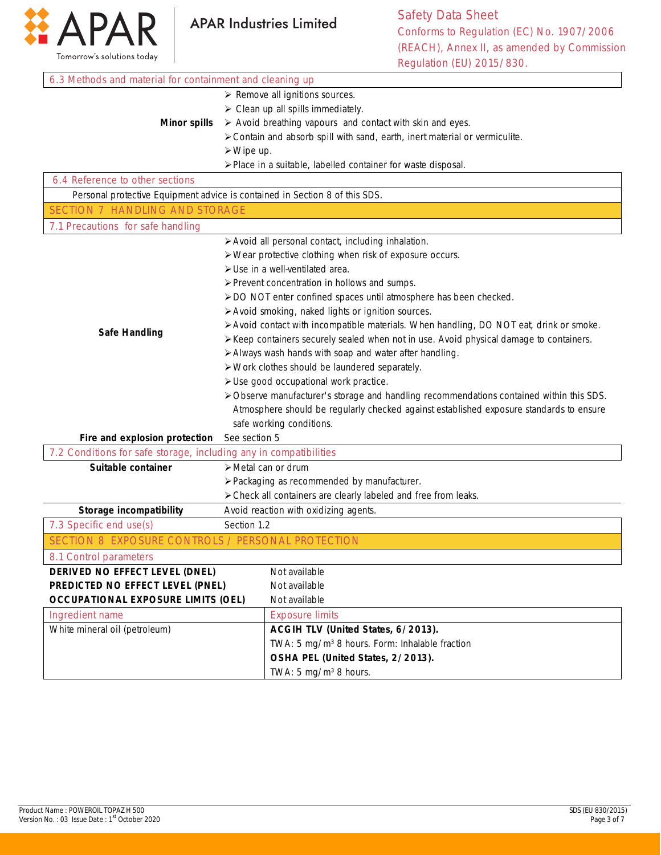

Safety Data Sheet Conforms to Regulation (EC) No. 1907/2006 (REACH), Annex II, as amended by Commission Regulation (EU) 2015/830. ٦

| 6.3 Methods and material for containment and cleaning up                    |                                                                                          |                                                                                         |  |  |
|-----------------------------------------------------------------------------|------------------------------------------------------------------------------------------|-----------------------------------------------------------------------------------------|--|--|
|                                                                             |                                                                                          | $\triangleright$ Remove all ignitions sources.                                          |  |  |
|                                                                             |                                                                                          | $\triangleright$ Clean up all spills immediately.                                       |  |  |
| <b>Minor spills</b>                                                         |                                                                                          | > Avoid breathing vapours and contact with skin and eyes.                               |  |  |
|                                                                             |                                                                                          | > Contain and absorb spill with sand, earth, inert material or vermiculite.             |  |  |
|                                                                             | $\triangleright$ Wipe up.                                                                |                                                                                         |  |  |
|                                                                             |                                                                                          | > Place in a suitable, labelled container for waste disposal.                           |  |  |
| 6.4 Reference to other sections                                             |                                                                                          |                                                                                         |  |  |
| Personal protective Equipment advice is contained in Section 8 of this SDS. |                                                                                          |                                                                                         |  |  |
| <b>SECTION 7 HANDLING AND STORAGE</b>                                       |                                                                                          |                                                                                         |  |  |
| 7.1 Precautions for safe handling                                           |                                                                                          |                                                                                         |  |  |
|                                                                             |                                                                                          | > Avoid all personal contact, including inhalation.                                     |  |  |
|                                                                             |                                                                                          | > Wear protective clothing when risk of exposure occurs.                                |  |  |
|                                                                             |                                                                                          | > Use in a well-ventilated area.                                                        |  |  |
|                                                                             |                                                                                          | > Prevent concentration in hollows and sumps.                                           |  |  |
|                                                                             |                                                                                          | > DO NOT enter confined spaces until atmosphere has been checked.                       |  |  |
|                                                                             |                                                                                          | > Avoid smoking, naked lights or ignition sources.                                      |  |  |
|                                                                             |                                                                                          | > Avoid contact with incompatible materials. When handling, DO NOT eat, drink or smoke. |  |  |
| <b>Safe Handling</b>                                                        |                                                                                          | > Keep containers securely sealed when not in use. Avoid physical damage to containers. |  |  |
|                                                                             | > Always wash hands with soap and water after handling.                                  |                                                                                         |  |  |
|                                                                             | > Work clothes should be laundered separately.                                           |                                                                                         |  |  |
|                                                                             | > Use good occupational work practice.                                                   |                                                                                         |  |  |
|                                                                             | > Observe manufacturer's storage and handling recommendations contained within this SDS. |                                                                                         |  |  |
|                                                                             | Atmosphere should be regularly checked against established exposure standards to ensure  |                                                                                         |  |  |
|                                                                             |                                                                                          | safe working conditions.                                                                |  |  |
| Fire and explosion protection                                               | See section 5                                                                            |                                                                                         |  |  |
| 7.2 Conditions for safe storage, including any in compatibilities           |                                                                                          |                                                                                         |  |  |
| Suitable container                                                          | > Metal can or drum                                                                      |                                                                                         |  |  |
|                                                                             |                                                                                          | > Packaging as recommended by manufacturer.                                             |  |  |
|                                                                             |                                                                                          | > Check all containers are clearly labeled and free from leaks.                         |  |  |
| Storage incompatibility                                                     |                                                                                          | Avoid reaction with oxidizing agents.                                                   |  |  |
| 7.3 Specific end use(s)                                                     | Section 1.2                                                                              |                                                                                         |  |  |
| SECTION 8 EXPOSURE CONTROLS / PERSONAL PROTECTION                           |                                                                                          |                                                                                         |  |  |
| 8.1 Control parameters                                                      |                                                                                          |                                                                                         |  |  |
| DERIVED NO EFFECT LEVEL (DNEL)                                              |                                                                                          | Not available                                                                           |  |  |
| PREDICTED NO EFFECT LEVEL (PNEL)<br>Not available                           |                                                                                          |                                                                                         |  |  |
| <b>OCCUPATIONAL EXPOSURE LIMITS (OEL)</b>                                   |                                                                                          | Not available                                                                           |  |  |
| Ingredient name                                                             |                                                                                          | <b>Exposure limits</b>                                                                  |  |  |
| White mineral oil (petroleum)                                               |                                                                                          | ACGIH TLV (United States, 6/2013).                                                      |  |  |
|                                                                             |                                                                                          | TWA: 5 mg/m <sup>3</sup> 8 hours. Form: Inhalable fraction                              |  |  |
|                                                                             |                                                                                          | OSHA PEL (United States, 2/2013).                                                       |  |  |
|                                                                             |                                                                                          | TWA: 5 mg/m <sup>3</sup> 8 hours.                                                       |  |  |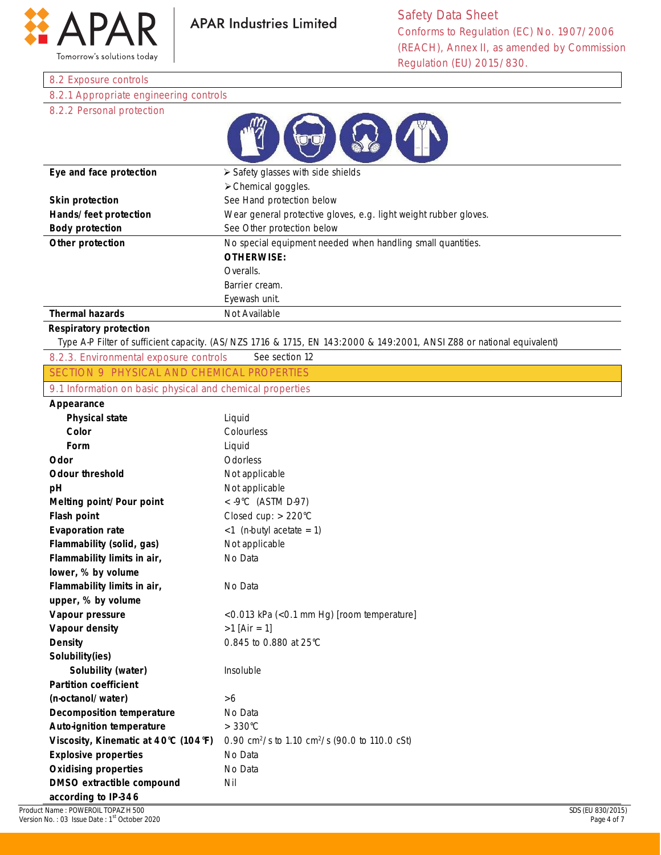

#### 8.2 Exposure controls

8.2.1 Appropriate engineering controls

### 8.2.2 Personal protection

| Eye and face protection | $\triangleright$ Safety glasses with side shields                |
|-------------------------|------------------------------------------------------------------|
|                         | $\triangleright$ Chemical goggles.                               |
| <b>Skin protection</b>  | See Hand protection below                                        |
| Hands/feet protection   | Wear general protective gloves, e.g. light weight rubber gloves. |
| <b>Body protection</b>  | See Other protection below                                       |
| Other protection        | No special equipment needed when handling small quantities.      |
|                         | <b>OTHERWISE:</b>                                                |
|                         | Overalls.                                                        |
|                         | Barrier cream.                                                   |
|                         | Eyewash unit.                                                    |
| <b>Thermal hazards</b>  | Not Available                                                    |

#### **Respiratory protection**

Type A-P Filter of sufficient capacity. (AS/NZS 1716 & 1715, EN 143:2000 & 149:2001, ANSI Z88 or national equivalent)

8.2.3. Environmental exposure controls See section 12 SECTION 9 PHYSICAL AND CHEMICAL PROPERTIES

9.1 Information on basic physical and chemical properties

#### **Appearance**

| Appcal alluc                         |                                                                        |
|--------------------------------------|------------------------------------------------------------------------|
| <b>Physical state</b>                | Liquid                                                                 |
| Color                                | Colourless                                                             |
| Form                                 | Liquid                                                                 |
| Odor                                 | Odorless                                                               |
| <b>Odour threshold</b>               | Not applicable                                                         |
| рH                                   | Not applicable                                                         |
| Melting point/Pour point             | < $-9^{\circ}$ C (ASTM D-97)                                           |
| <b>Flash point</b>                   | Closed cup: $> 220^{\circ}$ C                                          |
| <b>Evaporation rate</b>              | $<$ 1 (n-butyl acetate = 1)                                            |
| Flammability (solid, gas)            | Not applicable                                                         |
| Flammability limits in air,          | No Data                                                                |
| lower, % by volume                   |                                                                        |
| Flammability limits in air,          | No Data                                                                |
| upper, % by volume                   |                                                                        |
| Vapour pressure                      | <0.013 kPa (<0.1 mm Hg) [room temperature]                             |
| Vapour density                       | $>1$ [Air = 1]                                                         |
| <b>Density</b>                       | 0.845 to 0.880 at 25°C                                                 |
| Solubility(ies)                      |                                                                        |
| Solubility (water)                   | Insoluble                                                              |
| <b>Partition coefficient</b>         |                                                                        |
| (n-octanol/water)                    | >6                                                                     |
| <b>Decomposition temperature</b>     | No Data                                                                |
| Auto-ignition temperature            | $>330^{\circ}$ C                                                       |
| Viscosity, Kinematic at 40°C (104°F) | 0.90 cm <sup>2</sup> /s to 1.10 cm <sup>2</sup> /s (90.0 to 110.0 cSt) |
| <b>Explosive properties</b>          | No Data                                                                |
| <b>Oxidising properties</b>          | No Data                                                                |
| DMSO extractible compound            | Nil                                                                    |
| according to IP-346                  |                                                                        |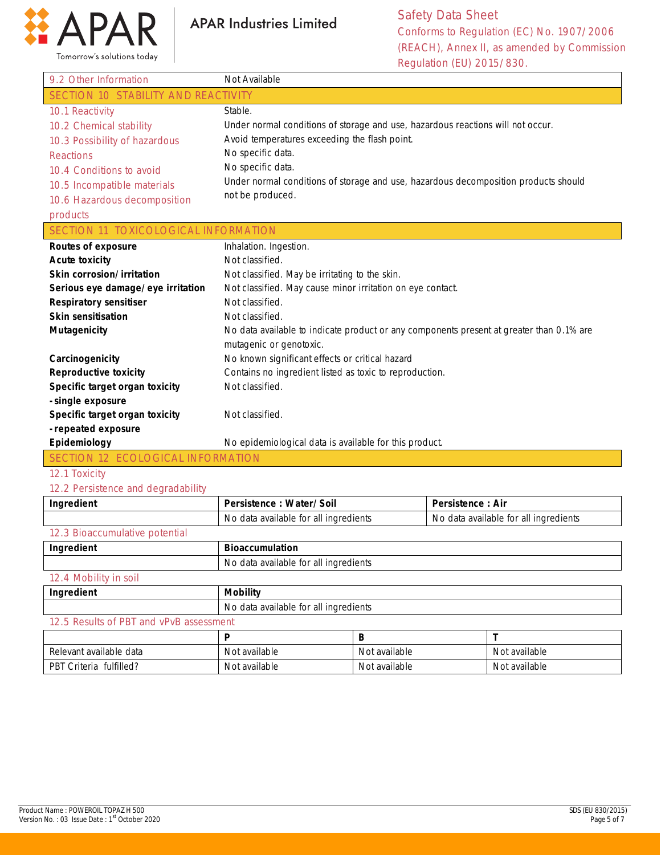

Safety Data Sheet Conforms to Regulation (EC) No. 1907/2006 (REACH), Annex II, as amended by Commission Regulation (EU) 2015/830.

| 9.2 Other Information                | Not Available                                                                            |
|--------------------------------------|------------------------------------------------------------------------------------------|
| SECTION 10 STABILITY AND REACTIVITY  |                                                                                          |
| 10.1 Reactivity                      | Stable.                                                                                  |
| 10.2 Chemical stability              | Under normal conditions of storage and use, hazardous reactions will not occur.          |
| 10.3 Possibility of hazardous        | Avoid temperatures exceeding the flash point.                                            |
| <b>Reactions</b>                     | No specific data.                                                                        |
| 10.4 Conditions to avoid             | No specific data.                                                                        |
| 10.5 Incompatible materials          | Under normal conditions of storage and use, hazardous decomposition products should      |
| 10.6 Hazardous decomposition         | not be produced.                                                                         |
| products                             |                                                                                          |
| SECTION 11 TOXICOLOGICAL INFORMATION |                                                                                          |
| <b>Routes of exposure</b>            | Inhalation. Ingestion.                                                                   |
| <b>Acute toxicity</b>                | Not classified.                                                                          |
| Skin corrosion/irritation            | Not classified. May be irritating to the skin.                                           |
| Serious eye damage/eye irritation    | Not classified. May cause minor irritation on eye contact.                               |
| <b>Respiratory sensitiser</b>        | Not classified.                                                                          |
| <b>Skin sensitisation</b>            | Not classified.                                                                          |
| <b>Mutagenicity</b>                  | No data available to indicate product or any components present at greater than 0.1% are |
|                                      | mutagenic or genotoxic.                                                                  |
| Carcinogenicity                      | No known significant effects or critical hazard                                          |
| <b>Reproductive toxicity</b>         | Contains no ingredient listed as toxic to reproduction.                                  |
| Specific target organ toxicity       | Not classified.                                                                          |
| - single exposure                    |                                                                                          |
| Specific target organ toxicity       | Not classified.                                                                          |
| - repeated exposure                  |                                                                                          |
| Epidemiology                         | No epidemiological data is available for this product.                                   |
| SECTION 12 ECOLOGICAL INFORMATION    |                                                                                          |

#### 12.1 Toxicity

### 12.2 Persistence and degradability

| Ingredient                              | Persistence: Water/Soil               | Persistence: Air                      |  |
|-----------------------------------------|---------------------------------------|---------------------------------------|--|
|                                         | No data available for all ingredients | No data available for all ingredients |  |
| 12.3 Bioaccumulative potential          |                                       |                                       |  |
| Ingredient                              | <b>Bioaccumulation</b>                |                                       |  |
|                                         | No data available for all ingredients |                                       |  |
| 12.4 Mobility in soil                   |                                       |                                       |  |
| Ingredient                              | <b>Mobility</b>                       |                                       |  |
|                                         | No data available for all ingredients |                                       |  |
| 12.5 Results of PBT and vPvB assessment |                                       |                                       |  |
|                                         |                                       |                                       |  |

| Relevant available data              | t available<br>Not | Not available | Not available |
|--------------------------------------|--------------------|---------------|---------------|
| fulfilled?<br><b>PBT</b><br>Criteria | Not available      | Not available | Not available |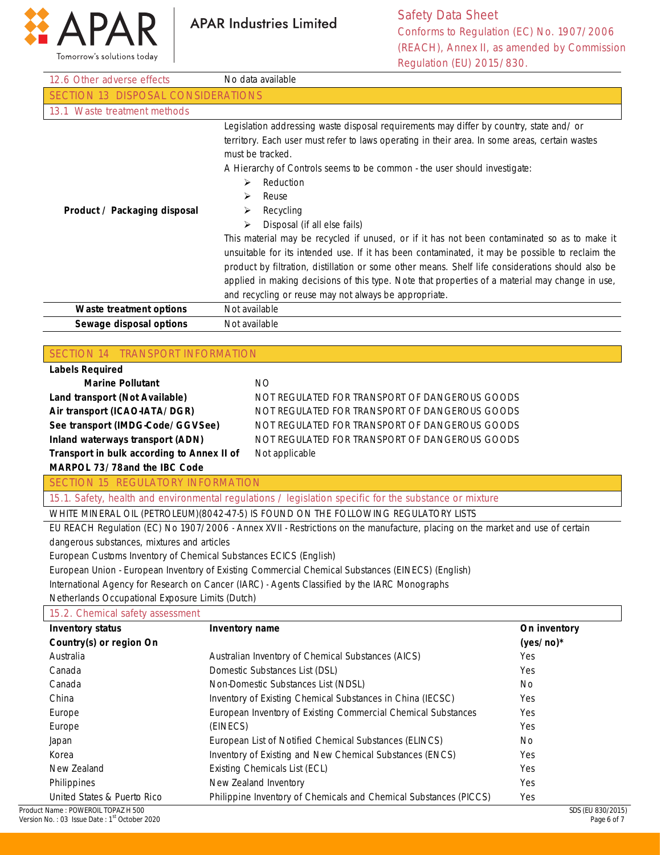

Safety Data Sheet Conforms to Regulation (EC) No. 1907/2006 (REACH), Annex II, as amended by Commission Regulation (EU) 2015/830.

|                                                                   | Regulation (EU) 2015/830.                                                                                                                                                                                                                                                                                                                                                                                                                                                                                                                                                                                                                                                                                                                                                                    |              |
|-------------------------------------------------------------------|----------------------------------------------------------------------------------------------------------------------------------------------------------------------------------------------------------------------------------------------------------------------------------------------------------------------------------------------------------------------------------------------------------------------------------------------------------------------------------------------------------------------------------------------------------------------------------------------------------------------------------------------------------------------------------------------------------------------------------------------------------------------------------------------|--------------|
| 12.6 Other adverse effects                                        | No data available                                                                                                                                                                                                                                                                                                                                                                                                                                                                                                                                                                                                                                                                                                                                                                            |              |
| SECTION 13 DISPOSAL CONSIDERATIONS                                |                                                                                                                                                                                                                                                                                                                                                                                                                                                                                                                                                                                                                                                                                                                                                                                              |              |
| 13.1 Waste treatment methods                                      |                                                                                                                                                                                                                                                                                                                                                                                                                                                                                                                                                                                                                                                                                                                                                                                              |              |
| Product / Packaging disposal                                      | Legislation addressing waste disposal requirements may differ by country, state and/ or<br>territory. Each user must refer to laws operating in their area. In some areas, certain wastes<br>must be tracked.<br>A Hierarchy of Controls seems to be common - the user should investigate:<br>Reduction<br>⋗<br>Reuse<br>➤<br>Recycling<br>➤<br>Disposal (if all else fails)<br>⋗<br>This material may be recycled if unused, or if it has not been contaminated so as to make it<br>unsuitable for its intended use. If it has been contaminated, it may be possible to reclaim the<br>product by filtration, distillation or some other means. Shelf life considerations should also be<br>applied in making decisions of this type. Note that properties of a material may change in use, |              |
|                                                                   | and recycling or reuse may not always be appropriate.                                                                                                                                                                                                                                                                                                                                                                                                                                                                                                                                                                                                                                                                                                                                        |              |
| Waste treatment options                                           | Not available                                                                                                                                                                                                                                                                                                                                                                                                                                                                                                                                                                                                                                                                                                                                                                                |              |
| Sewage disposal options                                           | Not available                                                                                                                                                                                                                                                                                                                                                                                                                                                                                                                                                                                                                                                                                                                                                                                |              |
|                                                                   |                                                                                                                                                                                                                                                                                                                                                                                                                                                                                                                                                                                                                                                                                                                                                                                              |              |
| SECTION 14 TRANSPORT INFORMATION                                  |                                                                                                                                                                                                                                                                                                                                                                                                                                                                                                                                                                                                                                                                                                                                                                                              |              |
| <b>Labels Required</b>                                            |                                                                                                                                                                                                                                                                                                                                                                                                                                                                                                                                                                                                                                                                                                                                                                                              |              |
| <b>Marine Pollutant</b>                                           | <b>NO</b>                                                                                                                                                                                                                                                                                                                                                                                                                                                                                                                                                                                                                                                                                                                                                                                    |              |
| Land transport (Not Available)                                    | NOT REGULATED FOR TRANSPORT OF DANGEROUS GOODS                                                                                                                                                                                                                                                                                                                                                                                                                                                                                                                                                                                                                                                                                                                                               |              |
| Air transport (ICAO-IATA/DGR)                                     | NOT REGULATED FOR TRANSPORT OF DANGEROUS GOODS                                                                                                                                                                                                                                                                                                                                                                                                                                                                                                                                                                                                                                                                                                                                               |              |
| See transport (IMDG-Code/GGVSee)                                  | NOT REGULATED FOR TRANSPORT OF DANGEROUS GOODS                                                                                                                                                                                                                                                                                                                                                                                                                                                                                                                                                                                                                                                                                                                                               |              |
| Inland waterways transport (ADN)                                  | NOT REGULATED FOR TRANSPORT OF DANGEROUS GOODS                                                                                                                                                                                                                                                                                                                                                                                                                                                                                                                                                                                                                                                                                                                                               |              |
| Transport in bulk according to Annex II of                        | Not applicable                                                                                                                                                                                                                                                                                                                                                                                                                                                                                                                                                                                                                                                                                                                                                                               |              |
| MARPOL 73/78and the IBC Code                                      |                                                                                                                                                                                                                                                                                                                                                                                                                                                                                                                                                                                                                                                                                                                                                                                              |              |
| <b>SECTION 15 REGULATORY INFORMATION</b>                          |                                                                                                                                                                                                                                                                                                                                                                                                                                                                                                                                                                                                                                                                                                                                                                                              |              |
|                                                                   | 15.1. Safety, health and environmental regulations / legislation specific for the substance or mixture                                                                                                                                                                                                                                                                                                                                                                                                                                                                                                                                                                                                                                                                                       |              |
|                                                                   | WHITE MINERAL OIL (PETROLEUM)(8042-47-5) IS FOUND ON THE FOLLOWING REGULATORY LISTS                                                                                                                                                                                                                                                                                                                                                                                                                                                                                                                                                                                                                                                                                                          |              |
|                                                                   | EU REACH Regulation (EC) No 1907/2006 - Annex XVII - Restrictions on the manufacture, placing on the market and use of certain                                                                                                                                                                                                                                                                                                                                                                                                                                                                                                                                                                                                                                                               |              |
| dangerous substances, mixtures and articles                       |                                                                                                                                                                                                                                                                                                                                                                                                                                                                                                                                                                                                                                                                                                                                                                                              |              |
| European Customs Inventory of Chemical Substances ECICS (English) |                                                                                                                                                                                                                                                                                                                                                                                                                                                                                                                                                                                                                                                                                                                                                                                              |              |
|                                                                   | European Union - European Inventory of Existing Commercial Chemical Substances (EINECS) (English)                                                                                                                                                                                                                                                                                                                                                                                                                                                                                                                                                                                                                                                                                            |              |
|                                                                   | International Agency for Research on Cancer (IARC) - Agents Classified by the IARC Monographs                                                                                                                                                                                                                                                                                                                                                                                                                                                                                                                                                                                                                                                                                                |              |
| Netherlands Occupational Exposure Limits (Dutch)                  |                                                                                                                                                                                                                                                                                                                                                                                                                                                                                                                                                                                                                                                                                                                                                                                              |              |
| 15.2. Chemical safety assessment                                  |                                                                                                                                                                                                                                                                                                                                                                                                                                                                                                                                                                                                                                                                                                                                                                                              |              |
| <b>Inventory status</b>                                           | Inventory name                                                                                                                                                                                                                                                                                                                                                                                                                                                                                                                                                                                                                                                                                                                                                                               | On inventory |
| Country(s) or region On                                           |                                                                                                                                                                                                                                                                                                                                                                                                                                                                                                                                                                                                                                                                                                                                                                                              | $(yes/no)*$  |
| Australia                                                         | Australian Inventory of Chemical Substances (AICS)                                                                                                                                                                                                                                                                                                                                                                                                                                                                                                                                                                                                                                                                                                                                           | Yes          |
|                                                                   |                                                                                                                                                                                                                                                                                                                                                                                                                                                                                                                                                                                                                                                                                                                                                                                              |              |

| Australia                   | Australian Inventory of Chemical Substances (AICS)                | Yes |
|-----------------------------|-------------------------------------------------------------------|-----|
| Canada                      | Domestic Substances List (DSL)                                    | Yes |
| Canada                      | Non-Domestic Substances List (NDSL)                               | No. |
| China                       | Inventory of Existing Chemical Substances in China (IECSC)        | Yes |
| Europe                      | European Inventory of Existing Commercial Chemical Substances     | Yes |
| Europe                      | (EINECS)                                                          | Yes |
| Japan                       | European List of Notified Chemical Substances (ELINCS)            | No. |
| Korea                       | Inventory of Existing and New Chemical Substances (ENCS)          | Yes |
| New Zealand                 | Existing Chemicals List (ECL)                                     | Yes |
| Philippines                 | New Zealand Inventory                                             | Yes |
| United States & Puerto Rico | Philippine Inventory of Chemicals and Chemical Substances (PICCS) | Yes |